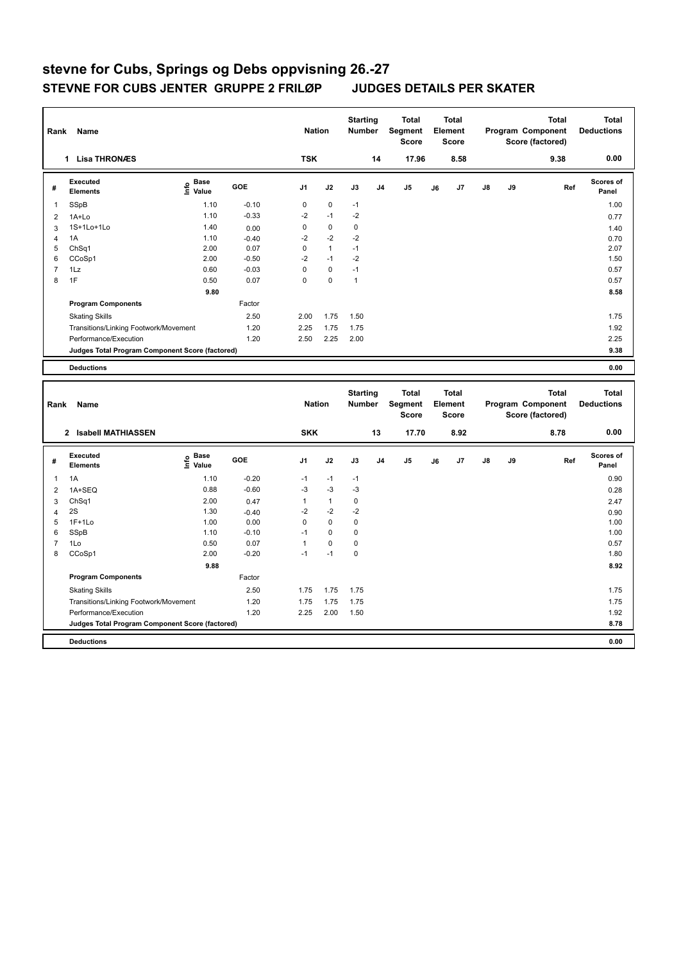| Rank                     | Name                                            |                                  |                    | <b>Nation</b>       |                      | <b>Starting</b><br><b>Number</b> |                | <b>Total</b><br>Segment<br><b>Score</b> |    | <b>Total</b><br>Element<br><b>Score</b> |    |    | <b>Total</b><br>Program Component<br>Score (factored) | <b>Total</b><br><b>Deductions</b> |
|--------------------------|-------------------------------------------------|----------------------------------|--------------------|---------------------|----------------------|----------------------------------|----------------|-----------------------------------------|----|-----------------------------------------|----|----|-------------------------------------------------------|-----------------------------------|
|                          | 1 Lisa THRONÆS                                  |                                  |                    | <b>TSK</b>          |                      |                                  | 14             | 17.96                                   |    | 8.58                                    |    |    | 9.38                                                  | 0.00                              |
| #                        | Executed<br><b>Elements</b>                     | <b>Base</b><br>lnfo<br>Value     | <b>GOE</b>         | J1                  | J2                   | J3                               | J <sub>4</sub> | J <sub>5</sub>                          | J6 | J7                                      | J8 | J9 | Ref                                                   | Scores of<br>Panel                |
| 1                        | SSpB                                            | 1.10                             | $-0.10$            | $\mathbf 0$         | $\mathbf 0$          | $-1$                             |                |                                         |    |                                         |    |    |                                                       | 1.00                              |
| $\overline{2}$           | 1A+Lo                                           | 1.10                             | $-0.33$            | $-2$                | $-1$                 | $-2$                             |                |                                         |    |                                         |    |    |                                                       | 0.77                              |
| 3                        | 1S+1Lo+1Lo                                      | 1.40                             | 0.00               | $\pmb{0}$           | $\pmb{0}$            | $\mathbf 0$                      |                |                                         |    |                                         |    |    |                                                       | 1.40                              |
| 4                        | 1A                                              | 1.10                             | $-0.40$            | $-2$                | $-2$                 | $-2$                             |                |                                         |    |                                         |    |    |                                                       | 0.70                              |
| 5                        | ChSq1                                           | 2.00                             | 0.07               | $\mathbf 0$         | $\overline{1}$       | $-1$                             |                |                                         |    |                                         |    |    |                                                       | 2.07                              |
| 6                        | CCoSp1                                          | 2.00                             | $-0.50$            | $-2$<br>$\mathbf 0$ | $-1$<br>$\mathbf 0$  | $-2$                             |                |                                         |    |                                         |    |    |                                                       | 1.50                              |
| $\overline{7}$<br>8      | 1Lz<br>1F                                       | 0.60<br>0.50                     | $-0.03$<br>0.07    | $\Omega$            | $\mathbf 0$          | $-1$<br>$\mathbf{1}$             |                |                                         |    |                                         |    |    |                                                       | 0.57<br>0.57                      |
|                          |                                                 |                                  |                    |                     |                      |                                  |                |                                         |    |                                         |    |    |                                                       |                                   |
|                          |                                                 | 9.80                             | Factor             |                     |                      |                                  |                |                                         |    |                                         |    |    |                                                       | 8.58                              |
|                          | <b>Program Components</b>                       |                                  |                    |                     |                      |                                  |                |                                         |    |                                         |    |    |                                                       |                                   |
|                          | <b>Skating Skills</b>                           |                                  | 2.50               | 2.00                | 1.75                 | 1.50                             |                |                                         |    |                                         |    |    |                                                       | 1.75                              |
|                          | Transitions/Linking Footwork/Movement           |                                  | 1.20               | 2.25                | 1.75                 | 1.75                             |                |                                         |    |                                         |    |    |                                                       | 1.92                              |
|                          | Performance/Execution                           |                                  | 1.20               | 2.50                | 2.25                 | 2.00                             |                |                                         |    |                                         |    |    |                                                       | 2.25                              |
|                          | Judges Total Program Component Score (factored) |                                  |                    |                     |                      |                                  |                |                                         |    |                                         |    |    |                                                       | 9.38                              |
|                          | <b>Deductions</b>                               |                                  |                    |                     |                      |                                  |                |                                         |    |                                         |    |    |                                                       | 0.00                              |
|                          |                                                 |                                  |                    |                     |                      |                                  |                |                                         |    |                                         |    |    |                                                       |                                   |
| Rank                     | Name                                            |                                  |                    | <b>Nation</b>       |                      | <b>Starting</b><br>Number        |                | <b>Total</b><br>Segment<br><b>Score</b> |    | <b>Total</b><br>Element<br><b>Score</b> |    |    | <b>Total</b><br>Program Component                     | <b>Total</b><br><b>Deductions</b> |
|                          | 2 Isabell MATHIASSEN                            |                                  |                    | <b>SKK</b>          |                      |                                  | 13             | 17.70                                   |    | 8.92                                    |    |    | Score (factored)<br>8.78                              | 0.00                              |
| #                        | <b>Executed</b><br><b>Elements</b>              | <b>Base</b><br>e Base<br>⊆ Value | <b>GOE</b>         | J1                  | J2                   | J3                               | J4             | J5                                      | J6 | J7                                      | J8 | J9 | Ref                                                   | Scores of<br>Panel                |
|                          |                                                 |                                  |                    |                     |                      |                                  |                |                                         |    |                                         |    |    |                                                       |                                   |
| 1                        | 1A                                              | 1.10<br>0.88                     | $-0.20$<br>$-0.60$ | $-1$<br>$-3$        | $-1$<br>$-3$         | $-1$<br>$-3$                     |                |                                         |    |                                         |    |    |                                                       | 0.90                              |
| $\overline{2}$           | 1A+SEQ                                          |                                  |                    |                     |                      |                                  |                |                                         |    |                                         |    |    |                                                       | 0.28                              |
| 3<br>4                   | ChSq1<br>2S                                     | 2.00<br>1.30                     | 0.47<br>$-0.40$    | 1<br>$-2$           | $\mathbf{1}$<br>$-2$ | $\pmb{0}$<br>$-2$                |                |                                         |    |                                         |    |    |                                                       | 2.47<br>0.90                      |
| 5                        | $1F+1Lo$                                        | 1.00                             | 0.00               | 0                   | $\mathbf 0$          | $\pmb{0}$                        |                |                                         |    |                                         |    |    |                                                       | 1.00                              |
| 6                        | SSpB                                            | 1.10                             | $-0.10$            | $-1$                | $\mathbf 0$          | $\mathbf 0$                      |                |                                         |    |                                         |    |    |                                                       | 1.00                              |
| $\overline{\mathcal{I}}$ | 1Lo                                             | 0.50                             | 0.07               | $\mathbf{1}$        | $\pmb{0}$            | $\pmb{0}$                        |                |                                         |    |                                         |    |    |                                                       | 0.57                              |
| 8                        | CCoSp1                                          | 2.00                             | $-0.20$            | $-1$                | $-1$                 | $\pmb{0}$                        |                |                                         |    |                                         |    |    |                                                       | 1.80                              |
|                          |                                                 | 9.88                             |                    |                     |                      |                                  |                |                                         |    |                                         |    |    |                                                       | 8.92                              |
|                          | <b>Program Components</b>                       |                                  | Factor             |                     |                      |                                  |                |                                         |    |                                         |    |    |                                                       |                                   |
|                          | <b>Skating Skills</b>                           |                                  | 2.50               | 1.75                | 1.75                 | 1.75                             |                |                                         |    |                                         |    |    |                                                       | 1.75                              |
|                          | Transitions/Linking Footwork/Movement           |                                  | 1.20               | 1.75                | 1.75                 | 1.75                             |                |                                         |    |                                         |    |    |                                                       | 1.75                              |
|                          | Performance/Execution                           |                                  | 1.20               | 2.25                | 2.00                 | 1.50                             |                |                                         |    |                                         |    |    |                                                       | 1.92                              |
|                          | Judges Total Program Component Score (factored) |                                  |                    |                     |                      |                                  |                |                                         |    |                                         |    |    |                                                       | 8.78                              |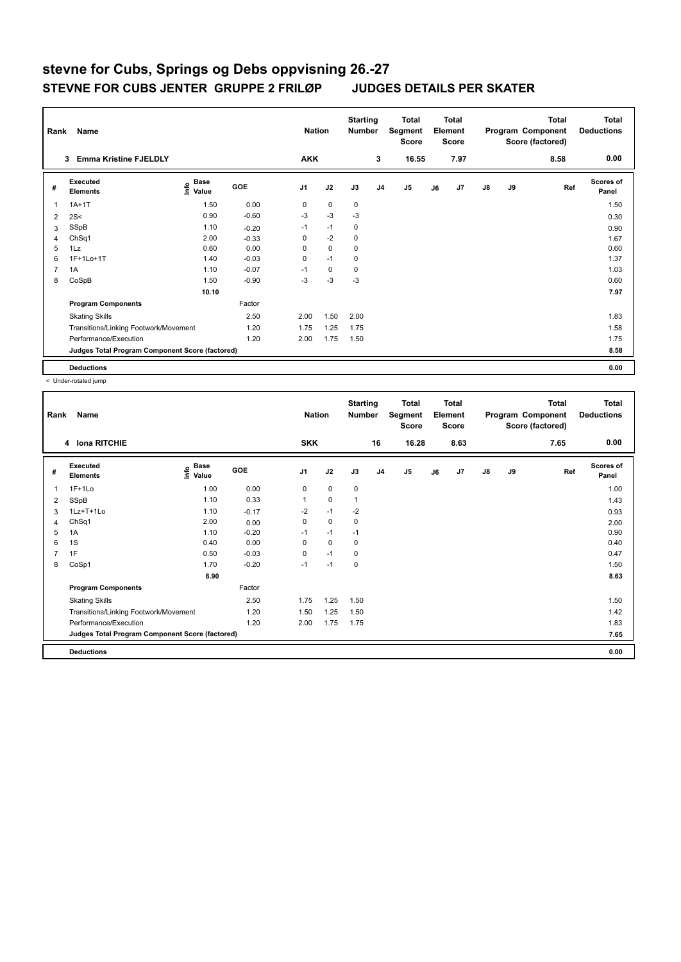| Rank           | Name                                            |                                    |            | <b>Nation</b>  |             | <b>Starting</b><br><b>Number</b> |                | <b>Total</b><br>Segment<br><b>Score</b> |    | <b>Total</b><br>Element<br><b>Score</b> |               |    | <b>Total</b><br>Program Component<br>Score (factored) | <b>Total</b><br><b>Deductions</b> |
|----------------|-------------------------------------------------|------------------------------------|------------|----------------|-------------|----------------------------------|----------------|-----------------------------------------|----|-----------------------------------------|---------------|----|-------------------------------------------------------|-----------------------------------|
|                | <b>Emma Kristine FJELDLY</b><br>3               |                                    |            | <b>AKK</b>     |             |                                  | 3              | 16.55                                   |    | 7.97                                    |               |    | 8.58                                                  | 0.00                              |
| #              | Executed<br><b>Elements</b>                     | <b>Base</b><br>$\frac{6}{5}$ Value | <b>GOE</b> | J <sub>1</sub> | J2          | J3                               | J <sub>4</sub> | J <sub>5</sub>                          | J6 | J7                                      | $\mathsf{J}8$ | J9 | Ref                                                   | Scores of<br>Panel                |
| 1              | $1A+1T$                                         | 1.50                               | 0.00       | 0              | $\mathbf 0$ | $\mathbf 0$                      |                |                                         |    |                                         |               |    |                                                       | 1.50                              |
| $\overline{2}$ | 2S<                                             | 0.90                               | $-0.60$    | $-3$           | $-3$        | $-3$                             |                |                                         |    |                                         |               |    |                                                       | 0.30                              |
| 3              | SSpB                                            | 1.10                               | $-0.20$    | $-1$           | $-1$        | 0                                |                |                                         |    |                                         |               |    |                                                       | 0.90                              |
| $\overline{4}$ | ChSq1                                           | 2.00                               | $-0.33$    | 0              | $-2$        | $\mathbf 0$                      |                |                                         |    |                                         |               |    |                                                       | 1.67                              |
| 5              | 1Lz                                             | 0.60                               | 0.00       | 0              | $\mathbf 0$ | $\mathbf 0$                      |                |                                         |    |                                         |               |    |                                                       | 0.60                              |
| 6              | 1F+1Lo+1T                                       | 1.40                               | $-0.03$    | 0              | $-1$        | 0                                |                |                                         |    |                                         |               |    |                                                       | 1.37                              |
| 7              | 1A                                              | 1.10                               | $-0.07$    | $-1$           | $\mathbf 0$ | 0                                |                |                                         |    |                                         |               |    |                                                       | 1.03                              |
| 8              | CoSpB                                           | 1.50                               | $-0.90$    | -3             | $-3$        | $-3$                             |                |                                         |    |                                         |               |    |                                                       | 0.60                              |
|                |                                                 | 10.10                              |            |                |             |                                  |                |                                         |    |                                         |               |    |                                                       | 7.97                              |
|                | <b>Program Components</b>                       |                                    | Factor     |                |             |                                  |                |                                         |    |                                         |               |    |                                                       |                                   |
|                | <b>Skating Skills</b>                           |                                    | 2.50       | 2.00           | 1.50        | 2.00                             |                |                                         |    |                                         |               |    |                                                       | 1.83                              |
|                | Transitions/Linking Footwork/Movement           |                                    | 1.20       | 1.75           | 1.25        | 1.75                             |                |                                         |    |                                         |               |    |                                                       | 1.58                              |
|                | Performance/Execution                           |                                    | 1.20       | 2.00           | 1.75        | 1.50                             |                |                                         |    |                                         |               |    |                                                       | 1.75                              |
|                | Judges Total Program Component Score (factored) |                                    |            |                |             |                                  |                |                                         |    |                                         |               |    |                                                       | 8.58                              |
|                | <b>Deductions</b>                               |                                    |            |                |             |                                  |                |                                         |    |                                         |               |    |                                                       | 0.00                              |

< Under-rotated jump

| Rank           | Name                                            |                                           | <b>Nation</b> |                | <b>Starting</b><br><b>Number</b> |              | <b>Total</b><br>Segment<br><b>Score</b> |       | <b>Total</b><br>Element<br><b>Score</b> |      |               | <b>Total</b><br>Program Component<br>Score (factored) | Total<br><b>Deductions</b> |                           |
|----------------|-------------------------------------------------|-------------------------------------------|---------------|----------------|----------------------------------|--------------|-----------------------------------------|-------|-----------------------------------------|------|---------------|-------------------------------------------------------|----------------------------|---------------------------|
|                | 4 Iona RITCHIE                                  |                                           |               | <b>SKK</b>     |                                  |              | 16                                      | 16.28 |                                         | 8.63 |               |                                                       | 7.65                       | 0.00                      |
| #              | Executed<br><b>Elements</b>                     | $\frac{e}{E}$ Base<br>$\frac{E}{E}$ Value | <b>GOE</b>    | J <sub>1</sub> | J2                               | J3           | J <sub>4</sub>                          | J5    | J6                                      | J7   | $\mathsf{J}8$ | J9                                                    | Ref                        | <b>Scores of</b><br>Panel |
| 1              | $1F+1Lo$                                        | 1.00                                      | 0.00          | 0              | $\mathbf 0$                      | $\mathbf 0$  |                                         |       |                                         |      |               |                                                       |                            | 1.00                      |
| 2              | SSpB                                            | 1.10                                      | 0.33          |                | $\pmb{0}$                        | $\mathbf{1}$ |                                         |       |                                         |      |               |                                                       |                            | 1.43                      |
| 3              | 1Lz+T+1Lo                                       | 1.10                                      | $-0.17$       | $-2$           | $-1$                             | $-2$         |                                         |       |                                         |      |               |                                                       |                            | 0.93                      |
| 4              | ChSq1                                           | 2.00                                      | 0.00          | 0              | $\mathbf 0$                      | $\mathbf 0$  |                                         |       |                                         |      |               |                                                       |                            | 2.00                      |
| 5              | 1A                                              | 1.10                                      | $-0.20$       | $-1$           | $-1$                             | $-1$         |                                         |       |                                         |      |               |                                                       |                            | 0.90                      |
| 6              | 1S                                              | 0.40                                      | 0.00          | 0              | $\mathbf 0$                      | 0            |                                         |       |                                         |      |               |                                                       |                            | 0.40                      |
| $\overline{7}$ | 1F                                              | 0.50                                      | $-0.03$       | 0              | $-1$                             | 0            |                                         |       |                                         |      |               |                                                       |                            | 0.47                      |
| 8              | CoSp1                                           | 1.70                                      | $-0.20$       | $-1$           | $-1$                             | 0            |                                         |       |                                         |      |               |                                                       |                            | 1.50                      |
|                |                                                 | 8.90                                      |               |                |                                  |              |                                         |       |                                         |      |               |                                                       |                            | 8.63                      |
|                | <b>Program Components</b>                       |                                           | Factor        |                |                                  |              |                                         |       |                                         |      |               |                                                       |                            |                           |
|                | <b>Skating Skills</b>                           |                                           | 2.50          | 1.75           | 1.25                             | 1.50         |                                         |       |                                         |      |               |                                                       |                            | 1.50                      |
|                | Transitions/Linking Footwork/Movement           |                                           | 1.20          | 1.50           | 1.25                             | 1.50         |                                         |       |                                         |      |               |                                                       |                            | 1.42                      |
|                | Performance/Execution                           |                                           | 1.20          | 2.00           | 1.75                             | 1.75         |                                         |       |                                         |      |               |                                                       |                            | 1.83                      |
|                | Judges Total Program Component Score (factored) |                                           |               |                |                                  |              |                                         |       |                                         |      |               |                                                       |                            | 7.65                      |
|                | <b>Deductions</b>                               |                                           |               |                |                                  |              |                                         |       |                                         |      |               |                                                       |                            | 0.00                      |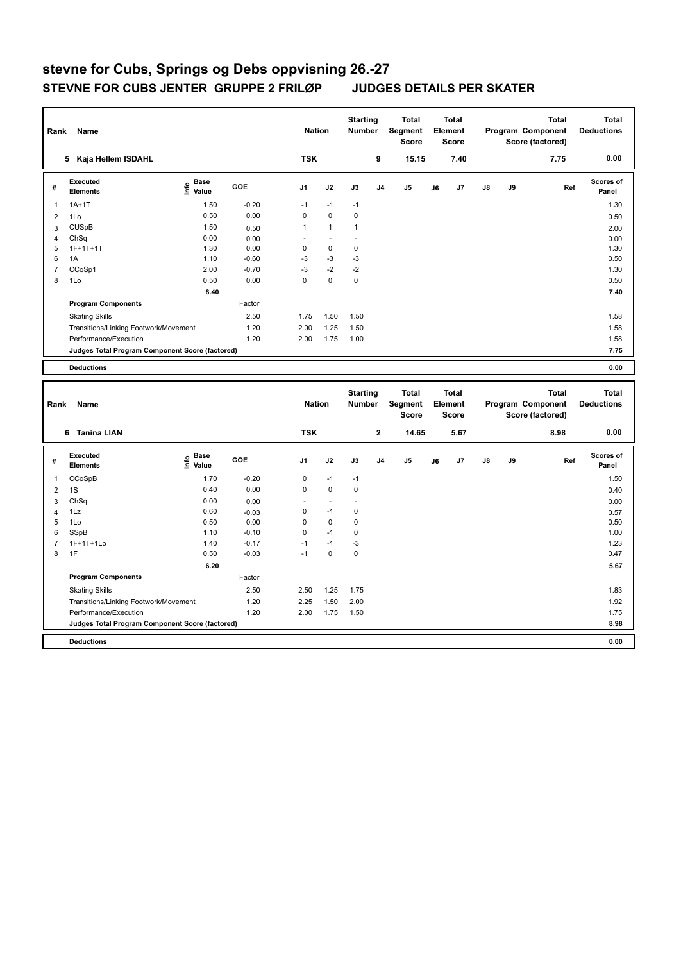| Rank                | Name                                            |                              |                 | <b>Nation</b>       |              | <b>Starting</b><br><b>Number</b> |                | <b>Total</b><br>Segment<br><b>Score</b> |    | Total<br>Element<br><b>Score</b> |    |    | <b>Total</b><br>Program Component<br>Score (factored) | <b>Total</b><br><b>Deductions</b> |
|---------------------|-------------------------------------------------|------------------------------|-----------------|---------------------|--------------|----------------------------------|----------------|-----------------------------------------|----|----------------------------------|----|----|-------------------------------------------------------|-----------------------------------|
|                     | 5 Kaja Hellem ISDAHL                            |                              |                 | <b>TSK</b>          |              |                                  | 9              | 15.15                                   |    | 7.40                             |    |    | 7.75                                                  | 0.00                              |
| #                   | <b>Executed</b><br><b>Elements</b>              | <b>Base</b><br>١nfo<br>Value | GOE             | J1                  | J2           | J3                               | J <sub>4</sub> | J5                                      | J6 | J7                               | J8 | J9 | Ref                                                   | Scores of<br>Panel                |
| $\mathbf{1}$        | $1A+1T$                                         | 1.50                         | $-0.20$         | $-1$                | $-1$         | $-1$                             |                |                                         |    |                                  |    |    |                                                       | 1.30                              |
| 2                   | 1Lo                                             | 0.50                         | 0.00            | $\mathbf 0$         | $\mathbf 0$  | $\mathbf 0$                      |                |                                         |    |                                  |    |    |                                                       | 0.50                              |
| 3                   | <b>CUSpB</b>                                    | 1.50                         | 0.50            | $\mathbf{1}$        | $\mathbf{1}$ | $\mathbf{1}$                     |                |                                         |    |                                  |    |    |                                                       | 2.00                              |
| $\overline{4}$      | ChSq                                            | 0.00                         | 0.00            | ä,                  | ÷,           | ÷,                               |                |                                         |    |                                  |    |    |                                                       | 0.00                              |
| 5                   | $1F+1T+1T$                                      | 1.30                         | 0.00            | 0                   | $\pmb{0}$    | $\pmb{0}$                        |                |                                         |    |                                  |    |    |                                                       | 1.30                              |
| 6                   | 1A                                              | 1.10                         | $-0.60$         | $-3$                | $-3$<br>$-2$ | $-3$<br>$-2$                     |                |                                         |    |                                  |    |    |                                                       | 0.50                              |
| $\overline{7}$<br>8 | CCoSp1<br>1Lo                                   | 2.00<br>0.50                 | $-0.70$<br>0.00 | $-3$<br>$\mathbf 0$ | $\mathbf 0$  | $\pmb{0}$                        |                |                                         |    |                                  |    |    |                                                       | 1.30<br>0.50                      |
|                     |                                                 |                              |                 |                     |              |                                  |                |                                         |    |                                  |    |    |                                                       |                                   |
|                     |                                                 | 8.40                         | Factor          |                     |              |                                  |                |                                         |    |                                  |    |    |                                                       | 7.40                              |
|                     | <b>Program Components</b>                       |                              |                 |                     |              |                                  |                |                                         |    |                                  |    |    |                                                       |                                   |
|                     | <b>Skating Skills</b>                           |                              | 2.50            | 1.75                | 1.50         | 1.50                             |                |                                         |    |                                  |    |    |                                                       | 1.58                              |
|                     | Transitions/Linking Footwork/Movement           |                              | 1.20            | 2.00                | 1.25         | 1.50                             |                |                                         |    |                                  |    |    |                                                       | 1.58                              |
|                     | Performance/Execution                           |                              | 1.20            | 2.00                | 1.75         | 1.00                             |                |                                         |    |                                  |    |    |                                                       | 1.58                              |
|                     | Judges Total Program Component Score (factored) |                              |                 |                     |              |                                  |                |                                         |    |                                  |    |    |                                                       | 7.75                              |
|                     | <b>Deductions</b>                               |                              |                 |                     |              |                                  |                |                                         |    |                                  |    |    |                                                       | 0.00                              |
|                     |                                                 |                              |                 |                     |              |                                  |                |                                         |    |                                  |    |    |                                                       |                                   |
| Rank                | Name                                            |                              |                 | <b>Nation</b>       |              | <b>Starting</b><br>Number        |                | <b>Total</b><br>Segment                 |    | Total<br>Element                 |    |    | <b>Total</b><br>Program Component                     | <b>Total</b><br><b>Deductions</b> |
|                     |                                                 |                              |                 |                     |              |                                  |                | <b>Score</b>                            |    | <b>Score</b>                     |    |    | Score (factored)                                      |                                   |
|                     | 6 Tanina LIAN                                   |                              |                 | <b>TSK</b>          |              |                                  | $\mathbf 2$    | 14.65                                   |    | 5.67                             |    |    | 8.98                                                  | 0.00                              |
| #                   | <b>Executed</b><br><b>Elements</b>              | <b>Base</b><br>١nfo<br>Value | GOE             | J <sub>1</sub>      | J2           | J3                               | J4             | J <sub>5</sub>                          | J6 | J7                               | J8 | J9 | Ref                                                   | Scores of<br>Panel                |
| 1                   | CCoSpB                                          | 1.70                         | $-0.20$         | 0                   | $-1$         | $-1$                             |                |                                         |    |                                  |    |    |                                                       | 1.50                              |
| $\overline{2}$      | 1S                                              | 0.40                         | 0.00            | $\mathsf 0$         | $\pmb{0}$    | $\pmb{0}$                        |                |                                         |    |                                  |    |    |                                                       | 0.40                              |
| 3                   | ChSq                                            | 0.00                         | 0.00            |                     | ä,           |                                  |                |                                         |    |                                  |    |    |                                                       | 0.00                              |
| $\overline{4}$      | 1Lz                                             | 0.60                         | $-0.03$         | 0                   | $-1$         | $\pmb{0}$                        |                |                                         |    |                                  |    |    |                                                       | 0.57                              |
| 5                   | 1Lo                                             | 0.50                         | 0.00            | $\mathsf 0$         | $\pmb{0}$    | $\pmb{0}$                        |                |                                         |    |                                  |    |    |                                                       | 0.50                              |
| 6                   | SSpB                                            | 1.10                         | $-0.10$         | $\pmb{0}$           | $-1$         | $\pmb{0}$                        |                |                                         |    |                                  |    |    |                                                       | 1.00                              |
| $\overline{7}$      | 1F+1T+1Lo                                       | 1.40                         | $-0.17$         | $-1$                | $-1$         | $-3$                             |                |                                         |    |                                  |    |    |                                                       | 1.23                              |
| 8                   | 1F                                              | 0.50                         | $-0.03$         | $-1$                | $\mathbf 0$  | $\mathbf 0$                      |                |                                         |    |                                  |    |    |                                                       | 0.47                              |
|                     |                                                 | 6.20                         |                 |                     |              |                                  |                |                                         |    |                                  |    |    |                                                       | 5.67                              |
|                     | <b>Program Components</b>                       |                              | Factor          |                     |              |                                  |                |                                         |    |                                  |    |    |                                                       |                                   |
|                     | <b>Skating Skills</b>                           |                              | 2.50            | 2.50                | 1.25         | 1.75                             |                |                                         |    |                                  |    |    |                                                       | 1.83                              |
|                     | Transitions/Linking Footwork/Movement           |                              | 1.20            | 2.25                | 1.50         | 2.00                             |                |                                         |    |                                  |    |    |                                                       | 1.92                              |
|                     | Performance/Execution                           |                              | 1.20            | 2.00                | 1.75         | 1.50                             |                |                                         |    |                                  |    |    |                                                       | 1.75                              |
|                     | Judges Total Program Component Score (factored) |                              |                 |                     |              |                                  |                |                                         |    |                                  |    |    |                                                       | 8.98                              |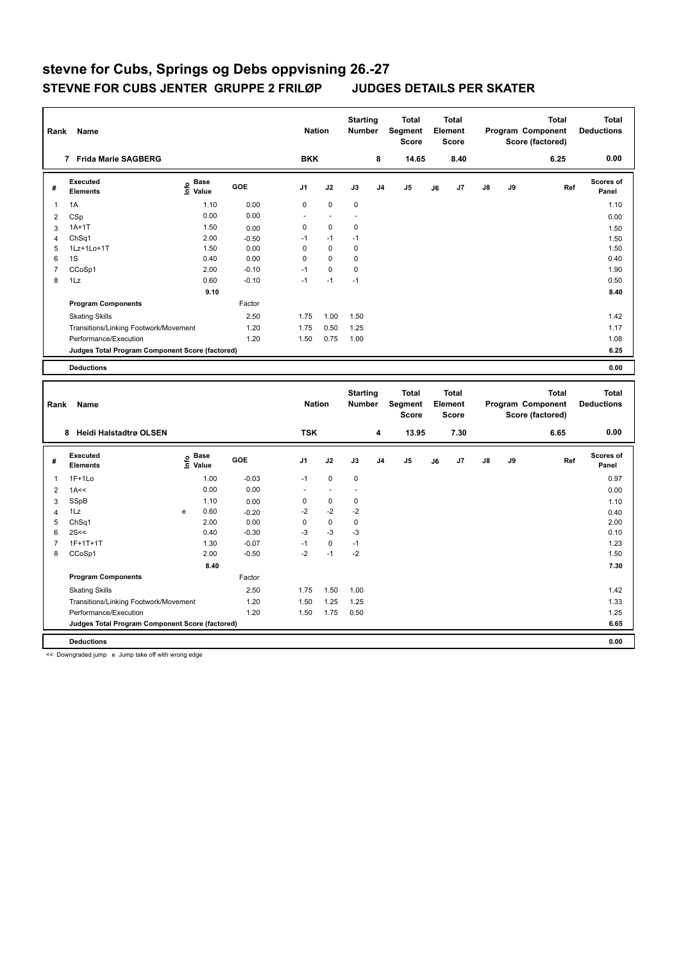| Rank                | <b>Name</b>                                     |                              |                 | <b>Nation</b>  |                | <b>Starting</b><br><b>Number</b> |                | <b>Total</b><br>Segment<br><b>Score</b> |    | <b>Total</b><br>Element<br>Score |    |    | <b>Total</b><br>Program Component<br>Score (factored) | <b>Total</b><br><b>Deductions</b> |
|---------------------|-------------------------------------------------|------------------------------|-----------------|----------------|----------------|----------------------------------|----------------|-----------------------------------------|----|----------------------------------|----|----|-------------------------------------------------------|-----------------------------------|
|                     | 7 Frida Marie SAGBERG                           |                              |                 | <b>BKK</b>     |                |                                  | 8              | 14.65                                   |    | 8.40                             |    |    | 6.25                                                  | 0.00                              |
| #                   | <b>Executed</b><br><b>Elements</b>              | <b>Base</b><br>۴٥<br>Value   | <b>GOE</b>      | J <sub>1</sub> | J2             | J3                               | J <sub>4</sub> | J <sub>5</sub>                          | J6 | J7                               | J8 | J9 | Ref                                                   | Scores of<br>Panel                |
| 1                   | 1A                                              | 1.10                         | 0.00            | $\pmb{0}$      | $\pmb{0}$      | $\mathbf 0$                      |                |                                         |    |                                  |    |    |                                                       | 1.10                              |
| $\overline{2}$      | CSp                                             | 0.00                         | 0.00            | ÷,             | ÷,             | L.                               |                |                                         |    |                                  |    |    |                                                       | 0.00                              |
| 3                   | $1A+1T$                                         | 1.50                         | 0.00            | 0              | $\mathbf 0$    | $\mathbf 0$                      |                |                                         |    |                                  |    |    |                                                       | 1.50                              |
| 4                   | Ch <sub>Sq1</sub>                               | 2.00                         | $-0.50$         | $-1$           | $-1$           | $-1$                             |                |                                         |    |                                  |    |    |                                                       | 1.50                              |
| 5                   | 1Lz+1Lo+1T                                      | 1.50                         | 0.00            | $\pmb{0}$      | $\mathbf 0$    | 0                                |                |                                         |    |                                  |    |    |                                                       | 1.50                              |
| 6                   | 1S                                              | 0.40                         | 0.00            | $\mathbf 0$    | $\mathbf 0$    | $\pmb{0}$                        |                |                                         |    |                                  |    |    |                                                       | 0.40                              |
| $\overline{7}$      | CCoSp1                                          | 2.00                         | $-0.10$         | $-1$           | $\mathbf 0$    | $\mathbf 0$                      |                |                                         |    |                                  |    |    |                                                       | 1.90                              |
| 8                   | 1Lz                                             | 0.60                         | $-0.10$         | $-1$           | $-1$           | $-1$                             |                |                                         |    |                                  |    |    |                                                       | 0.50                              |
|                     |                                                 | 9.10                         |                 |                |                |                                  |                |                                         |    |                                  |    |    |                                                       | 8.40                              |
|                     | <b>Program Components</b>                       |                              | Factor          |                |                |                                  |                |                                         |    |                                  |    |    |                                                       |                                   |
|                     | <b>Skating Skills</b>                           |                              | 2.50            | 1.75           | 1.00           | 1.50                             |                |                                         |    |                                  |    |    |                                                       | 1.42                              |
|                     | Transitions/Linking Footwork/Movement           |                              | 1.20            | 1.75           | 0.50           | 1.25                             |                |                                         |    |                                  |    |    |                                                       | 1.17                              |
|                     | Performance/Execution                           |                              | 1.20            | 1.50           | 0.75           | 1.00                             |                |                                         |    |                                  |    |    |                                                       | 1.08                              |
|                     | Judges Total Program Component Score (factored) |                              |                 |                |                |                                  |                |                                         |    |                                  |    |    |                                                       | 6.25                              |
|                     | <b>Deductions</b>                               |                              |                 |                |                |                                  |                |                                         |    |                                  |    |    |                                                       | 0.00                              |
|                     |                                                 |                              |                 |                |                |                                  |                |                                         |    |                                  |    |    |                                                       |                                   |
|                     |                                                 |                              |                 |                |                |                                  |                |                                         |    |                                  |    |    |                                                       |                                   |
|                     |                                                 |                              |                 |                |                | <b>Starting</b>                  |                | <b>Total</b>                            |    | <b>Total</b>                     |    |    | <b>Total</b>                                          | <b>Total</b>                      |
| Rank                | Name                                            |                              |                 | <b>Nation</b>  |                | Number                           |                | Segment                                 |    | Element                          |    |    | Program Component                                     | <b>Deductions</b>                 |
|                     |                                                 |                              |                 |                |                |                                  |                | <b>Score</b>                            |    | <b>Score</b>                     |    |    | Score (factored)                                      |                                   |
|                     | 8 Heidi Halstadtrø OLSEN                        |                              |                 | <b>TSK</b>     |                |                                  | 4              | 13.95                                   |    | 7.30                             |    |    | 6.65                                                  | 0.00                              |
| #                   | <b>Executed</b><br><b>Elements</b>              | <b>Base</b><br>١nfo<br>Value | <b>GOE</b>      | J1             | J2             | J3                               | J <sub>4</sub> | J5                                      | J6 | J7                               | J8 | J9 | Ref                                                   | Scores of<br>Panel                |
| 1                   | $1F+1Lo$                                        | 1.00                         | $-0.03$         | $-1$           | $\mathbf 0$    | $\pmb{0}$                        |                |                                         |    |                                  |    |    |                                                       | 0.97                              |
| $\overline{2}$      | 1A<<                                            | 0.00                         | 0.00            | ÷.             | $\overline{a}$ | ä,                               |                |                                         |    |                                  |    |    |                                                       | 0.00                              |
|                     | SSpB                                            | 1.10                         |                 | $\mathsf 0$    | $\mathbf 0$    | $\pmb{0}$                        |                |                                         |    |                                  |    |    |                                                       |                                   |
| 3<br>$\overline{4}$ | 1Lz                                             | 0.60<br>e                    | 0.00<br>$-0.20$ | $-2$           | $-2$           | $-2$                             |                |                                         |    |                                  |    |    |                                                       | 1.10<br>0.40                      |
| 5                   | ChSq1                                           | 2.00                         | 0.00            | $\mathbf 0$    | $\mathbf 0$    | $\mathbf 0$                      |                |                                         |    |                                  |    |    |                                                       | 2.00                              |
| 6                   | 2S<<                                            | 0.40                         | $-0.30$         | $-3$           | $-3$           | $-3$                             |                |                                         |    |                                  |    |    |                                                       | 0.10                              |
| $\overline{7}$      | $1F+1T+1T$                                      | 1.30                         | $-0.07$         | $-1$           | $\mathbf 0$    | $-1$                             |                |                                         |    |                                  |    |    |                                                       | 1.23                              |
| 8                   | CCoSp1                                          | 2.00                         | $-0.50$         | $-2$           | $-1$           | $-2$                             |                |                                         |    |                                  |    |    |                                                       | 1.50                              |
|                     |                                                 | 8.40                         |                 |                |                |                                  |                |                                         |    |                                  |    |    |                                                       | 7.30                              |
|                     | <b>Program Components</b>                       |                              | Factor          |                |                |                                  |                |                                         |    |                                  |    |    |                                                       |                                   |
|                     | <b>Skating Skills</b>                           |                              | 2.50            | 1.75           | 1.50           | 1.00                             |                |                                         |    |                                  |    |    |                                                       | 1.42                              |
|                     | Transitions/Linking Footwork/Movement           |                              | 1.20            | 1.50           | 1.25           | 1.25                             |                |                                         |    |                                  |    |    |                                                       | 1.33                              |
|                     | Performance/Execution                           |                              | 1.20            | 1.50           | 1.75           | 0.50                             |                |                                         |    |                                  |    |    |                                                       | 1.25                              |
|                     | Judges Total Program Component Score (factored) |                              |                 |                |                |                                  |                |                                         |    |                                  |    |    |                                                       | 6.65                              |

<< Downgraded jump e Jump take off with wrong edge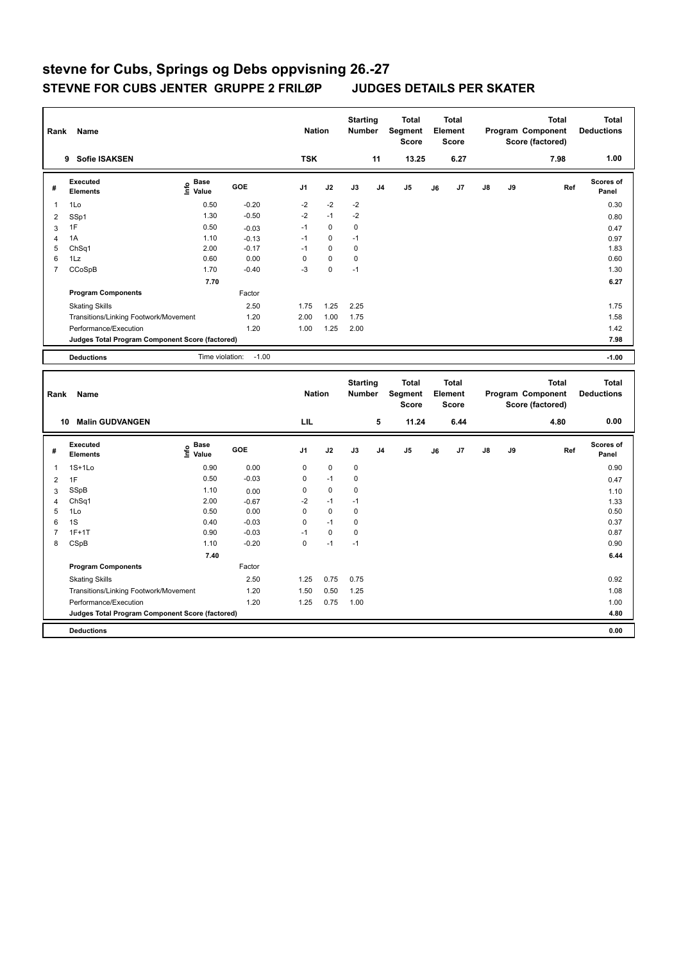| Rank           | <b>Name</b>                                     |                                  |         | <b>Nation</b>  |             | <b>Starting</b><br><b>Number</b> |                | <b>Total</b><br><b>Segment</b><br><b>Score</b> | <b>Total</b><br>Element<br><b>Score</b> |            |    | <b>Total</b><br>Program Component<br>Score (factored) | <b>Total</b><br><b>Deductions</b> |
|----------------|-------------------------------------------------|----------------------------------|---------|----------------|-------------|----------------------------------|----------------|------------------------------------------------|-----------------------------------------|------------|----|-------------------------------------------------------|-----------------------------------|
|                | <b>Sofie ISAKSEN</b><br>9                       |                                  |         | <b>TSK</b>     |             |                                  | 11             | 13.25                                          | 6.27                                    |            |    | 7.98                                                  | 1.00                              |
| #              | Executed<br><b>Elements</b>                     | <b>Base</b><br>e Base<br>E Value | GOE     | J <sub>1</sub> | J2          | J3                               | J <sub>4</sub> | J <sub>5</sub>                                 | J7<br>J6                                | ${\sf J8}$ | J9 | Ref                                                   | <b>Scores of</b><br>Panel         |
| $\overline{1}$ | 1Lo                                             | 0.50                             | $-0.20$ | $-2$           | $-2$        | $-2$                             |                |                                                |                                         |            |    |                                                       | 0.30                              |
| 2              | SSp1                                            | 1.30                             | $-0.50$ | $-2$           | $-1$        | $-2$                             |                |                                                |                                         |            |    |                                                       | 0.80                              |
| 3              | 1F                                              | 0.50                             | $-0.03$ | $-1$           | 0           | $\mathbf 0$                      |                |                                                |                                         |            |    |                                                       | 0.47                              |
| $\overline{4}$ | 1A                                              | 1.10                             | $-0.13$ | $-1$           | $\Omega$    | $-1$                             |                |                                                |                                         |            |    |                                                       | 0.97                              |
| 5              | Ch <sub>Sq1</sub>                               | 2.00                             | $-0.17$ | $-1$           | $\mathbf 0$ | $\mathbf 0$                      |                |                                                |                                         |            |    |                                                       | 1.83                              |
| 6              | 1Lz                                             | 0.60                             | 0.00    | 0              | $\mathbf 0$ | 0                                |                |                                                |                                         |            |    |                                                       | 0.60                              |
| $\overline{7}$ | CCoSpB                                          | 1.70                             | $-0.40$ | $-3$           | $\mathbf 0$ | $-1$                             |                |                                                |                                         |            |    |                                                       | 1.30                              |
|                |                                                 | 7.70                             |         |                |             |                                  |                |                                                |                                         |            |    |                                                       | 6.27                              |
|                | <b>Program Components</b>                       |                                  | Factor  |                |             |                                  |                |                                                |                                         |            |    |                                                       |                                   |
|                | <b>Skating Skills</b>                           |                                  | 2.50    | 1.75           | 1.25        | 2.25                             |                |                                                |                                         |            |    |                                                       | 1.75                              |
|                | Transitions/Linking Footwork/Movement           |                                  | 1.20    | 2.00           | 1.00        | 1.75                             |                |                                                |                                         |            |    |                                                       | 1.58                              |
|                | Performance/Execution                           |                                  | 1.20    | 1.00           | 1.25        | 2.00                             |                |                                                |                                         |            |    |                                                       | 1.42                              |
|                | Judges Total Program Component Score (factored) |                                  |         |                |             |                                  |                |                                                |                                         |            |    |                                                       | 7.98                              |
|                | <b>Deductions</b>                               | Time violation:                  | $-1.00$ |                |             |                                  |                |                                                |                                         |            |    |                                                       | $-1.00$                           |
|                |                                                 |                                  |         |                |             |                                  |                |                                                |                                         |            |    |                                                       |                                   |
| Rank           | <b>Name</b>                                     |                                  |         | <b>Nation</b>  |             | <b>Starting</b><br><b>Number</b> |                | <b>Total</b><br>Segment<br><b>Score</b>        | Total<br>Element<br><b>Score</b>        |            |    | Total<br>Program Component<br>Score (factored)        | Total<br><b>Deductions</b>        |

|   | <b>Malin GUDVANGEN</b><br>10                    |                                           |            | LIL            |             |             | 5              | 11.24          |    | 6.44           |               |    | 4.80 | 0.00               |
|---|-------------------------------------------------|-------------------------------------------|------------|----------------|-------------|-------------|----------------|----------------|----|----------------|---------------|----|------|--------------------|
| # | Executed<br><b>Elements</b>                     | $\frac{e}{2}$ Base<br>$\frac{e}{2}$ Value | <b>GOE</b> | J <sub>1</sub> | J2          | J3          | J <sub>4</sub> | J <sub>5</sub> | J6 | J <sub>7</sub> | $\mathsf{J}8$ | J9 | Ref  | Scores of<br>Panel |
| 1 | $1S+1Lo$                                        | 0.90                                      | 0.00       | 0              | $\mathbf 0$ | $\mathbf 0$ |                |                |    |                |               |    |      | 0.90               |
| 2 | 1F                                              | 0.50                                      | $-0.03$    | 0              | $-1$        | 0           |                |                |    |                |               |    |      | 0.47               |
| 3 | SSpB                                            | 1.10                                      | 0.00       | 0              | $\mathbf 0$ | 0           |                |                |    |                |               |    |      | 1.10               |
| 4 | Ch <sub>Sq1</sub>                               | 2.00                                      | $-0.67$    | $-2$           | $-1$        | $-1$        |                |                |    |                |               |    |      | 1.33               |
| 5 | 1Lo                                             | 0.50                                      | 0.00       | 0              | $\mathbf 0$ | 0           |                |                |    |                |               |    |      | 0.50               |
| 6 | 1S                                              | 0.40                                      | $-0.03$    | 0              | $-1$        | 0           |                |                |    |                |               |    |      | 0.37               |
|   | $1F+1T$                                         | 0.90                                      | $-0.03$    | $-1$           | 0           | 0           |                |                |    |                |               |    |      | 0.87               |
| 8 | CSpB                                            | 1.10                                      | $-0.20$    | 0              | $-1$        | $-1$        |                |                |    |                |               |    |      | 0.90               |
|   |                                                 | 7.40                                      |            |                |             |             |                |                |    |                |               |    |      | 6.44               |
|   | <b>Program Components</b>                       |                                           | Factor     |                |             |             |                |                |    |                |               |    |      |                    |
|   | <b>Skating Skills</b>                           |                                           | 2.50       | 1.25           | 0.75        | 0.75        |                |                |    |                |               |    |      | 0.92               |
|   | Transitions/Linking Footwork/Movement           |                                           | 1.20       | 1.50           | 0.50        | 1.25        |                |                |    |                |               |    |      | 1.08               |
|   | Performance/Execution                           |                                           | 1.20       | 1.25           | 0.75        | 1.00        |                |                |    |                |               |    |      | 1.00               |
|   | Judges Total Program Component Score (factored) |                                           |            |                |             |             |                |                |    |                |               |    |      | 4.80               |
|   | <b>Deductions</b>                               |                                           |            |                |             |             |                |                |    |                |               |    |      | 0.00               |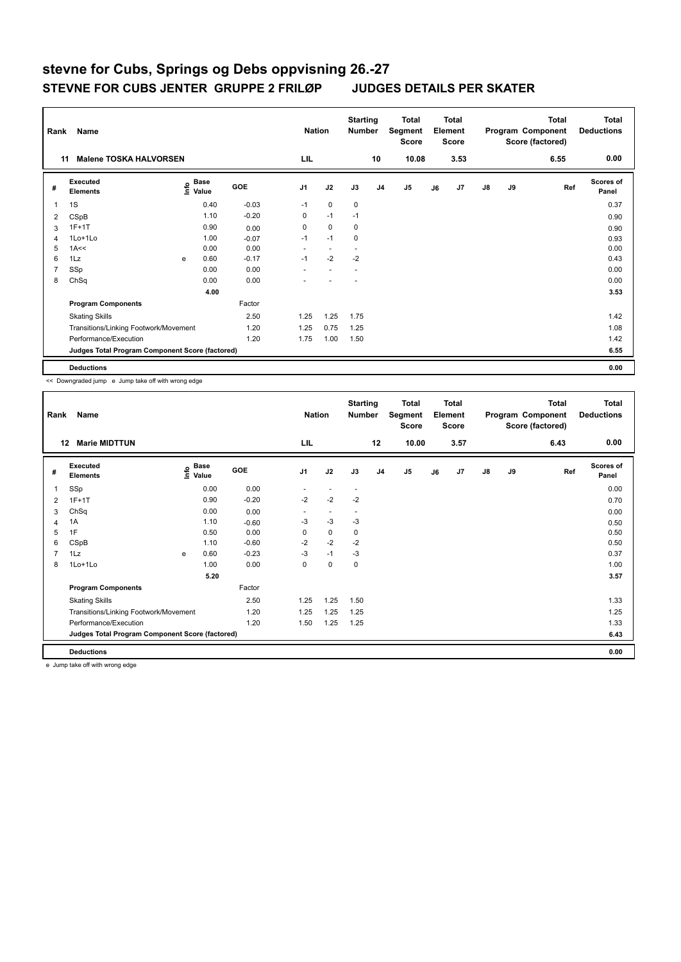| Rank           | Name<br><b>Malene TOSKA HALVORSEN</b><br>11     |      |                      |            |                | <b>Nation</b>            | <b>Starting</b><br><b>Number</b> |                | Total<br>Segment<br><b>Score</b> |    | Total<br>Element<br><b>Score</b> |               |    | Total<br>Program Component<br>Score (factored) | Total<br><b>Deductions</b> |
|----------------|-------------------------------------------------|------|----------------------|------------|----------------|--------------------------|----------------------------------|----------------|----------------------------------|----|----------------------------------|---------------|----|------------------------------------------------|----------------------------|
|                |                                                 |      |                      |            | LIL            |                          |                                  | 10             | 10.08                            |    | 3.53                             |               |    | 6.55                                           | 0.00                       |
| #              | Executed<br><b>Elements</b>                     | lnfo | <b>Base</b><br>Value | <b>GOE</b> | J <sub>1</sub> | J2                       | J3                               | J <sub>4</sub> | J <sub>5</sub>                   | J6 | J7                               | $\mathsf{J}8$ | J9 | Ref                                            | Scores of<br>Panel         |
| 1              | 1S                                              |      | 0.40                 | $-0.03$    | $-1$           | $\mathbf 0$              | $\mathbf 0$                      |                |                                  |    |                                  |               |    |                                                | 0.37                       |
| 2              | CSpB                                            |      | 1.10                 | $-0.20$    | 0              | $-1$                     | $-1$                             |                |                                  |    |                                  |               |    |                                                | 0.90                       |
| 3              | $1F+1T$                                         |      | 0.90                 | 0.00       | 0              | $\mathbf 0$              | 0                                |                |                                  |    |                                  |               |    |                                                | 0.90                       |
| 4              | 1Lo+1Lo                                         |      | 1.00                 | $-0.07$    | $-1$           | $-1$                     | 0                                |                |                                  |    |                                  |               |    |                                                | 0.93                       |
| 5              | 1A<<                                            |      | 0.00                 | 0.00       | ٠              | $\overline{\phantom{a}}$ |                                  |                |                                  |    |                                  |               |    |                                                | 0.00                       |
| 6              | 1Lz                                             | e    | 0.60                 | $-0.17$    | $-1$           | $-2$                     | $-2$                             |                |                                  |    |                                  |               |    |                                                | 0.43                       |
| $\overline{7}$ | SSp                                             |      | 0.00                 | 0.00       |                |                          |                                  |                |                                  |    |                                  |               |    |                                                | 0.00                       |
| 8              | ChSq                                            |      | 0.00                 | 0.00       |                |                          |                                  |                |                                  |    |                                  |               |    |                                                | 0.00                       |
|                |                                                 |      | 4.00                 |            |                |                          |                                  |                |                                  |    |                                  |               |    |                                                | 3.53                       |
|                | <b>Program Components</b>                       |      |                      | Factor     |                |                          |                                  |                |                                  |    |                                  |               |    |                                                |                            |
|                | <b>Skating Skills</b>                           |      |                      | 2.50       | 1.25           | 1.25                     | 1.75                             |                |                                  |    |                                  |               |    |                                                | 1.42                       |
|                | Transitions/Linking Footwork/Movement           |      |                      | 1.20       | 1.25           | 0.75                     | 1.25                             |                |                                  |    |                                  |               |    |                                                | 1.08                       |
|                | Performance/Execution                           |      |                      | 1.20       | 1.75           | 1.00                     | 1.50                             |                |                                  |    |                                  |               |    |                                                | 1.42                       |
|                | Judges Total Program Component Score (factored) |      |                      |            |                |                          |                                  |                |                                  |    |                                  |               |    |                                                | 6.55                       |
|                | <b>Deductions</b>                               |      |                      |            |                |                          |                                  |                |                                  |    |                                  |               |    |                                                | 0.00                       |

<< Downgraded jump e Jump take off with wrong edge

| Rank           | Name                                            |   |                                  |            | <b>Nation</b>  |                          | <b>Starting</b><br><b>Number</b> |                | <b>Total</b><br>Segment<br><b>Score</b> |    | <b>Total</b><br>Element<br><b>Score</b> |               |    | <b>Total</b><br>Program Component<br>Score (factored) | <b>Total</b><br><b>Deductions</b> |
|----------------|-------------------------------------------------|---|----------------------------------|------------|----------------|--------------------------|----------------------------------|----------------|-----------------------------------------|----|-----------------------------------------|---------------|----|-------------------------------------------------------|-----------------------------------|
| 12             | <b>Marie MIDTTUN</b>                            |   |                                  |            | LIL            |                          |                                  | 12             | 10.00                                   |    | 3.57                                    |               |    | 6.43                                                  | 0.00                              |
| #              | Executed<br><b>Elements</b>                     |   | <b>Base</b><br>e Base<br>⊑ Value | <b>GOE</b> | J <sub>1</sub> | J2                       | J3                               | J <sub>4</sub> | J5                                      | J6 | J7                                      | $\mathsf{J}8$ | J9 | Ref                                                   | <b>Scores of</b><br>Panel         |
| 1              | SSp                                             |   | 0.00                             | 0.00       | ٠              | $\overline{\phantom{a}}$ | $\overline{\phantom{a}}$         |                |                                         |    |                                         |               |    |                                                       | 0.00                              |
| 2              | $1F+1T$                                         |   | 0.90                             | $-0.20$    | $-2$           | $-2$                     | $-2$                             |                |                                         |    |                                         |               |    |                                                       | 0.70                              |
| 3              | ChSq                                            |   | 0.00                             | 0.00       | ٠              | $\sim$                   | $\overline{\phantom{a}}$         |                |                                         |    |                                         |               |    |                                                       | 0.00                              |
| 4              | 1A                                              |   | 1.10                             | $-0.60$    | -3             | $-3$                     | $-3$                             |                |                                         |    |                                         |               |    |                                                       | 0.50                              |
| 5              | 1F                                              |   | 0.50                             | 0.00       | 0              | 0                        | $\mathbf 0$                      |                |                                         |    |                                         |               |    |                                                       | 0.50                              |
| 6              | CSpB                                            |   | 1.10                             | $-0.60$    | $-2$           | $-2$                     | $-2$                             |                |                                         |    |                                         |               |    |                                                       | 0.50                              |
| $\overline{7}$ | 1Lz                                             | e | 0.60                             | $-0.23$    | $-3$           | $-1$                     | -3                               |                |                                         |    |                                         |               |    |                                                       | 0.37                              |
| 8              | 1Lo+1Lo                                         |   | 1.00                             | 0.00       | 0              | 0                        | 0                                |                |                                         |    |                                         |               |    |                                                       | 1.00                              |
|                |                                                 |   | 5.20                             |            |                |                          |                                  |                |                                         |    |                                         |               |    |                                                       | 3.57                              |
|                | <b>Program Components</b>                       |   |                                  | Factor     |                |                          |                                  |                |                                         |    |                                         |               |    |                                                       |                                   |
|                | <b>Skating Skills</b>                           |   |                                  | 2.50       | 1.25           | 1.25                     | 1.50                             |                |                                         |    |                                         |               |    |                                                       | 1.33                              |
|                | Transitions/Linking Footwork/Movement           |   |                                  | 1.20       | 1.25           | 1.25                     | 1.25                             |                |                                         |    |                                         |               |    |                                                       | 1.25                              |
|                | Performance/Execution                           |   |                                  | 1.20       | 1.50           | 1.25                     | 1.25                             |                |                                         |    |                                         |               |    |                                                       | 1.33                              |
|                | Judges Total Program Component Score (factored) |   |                                  |            |                |                          |                                  |                |                                         |    |                                         |               |    |                                                       | 6.43                              |
|                | <b>Deductions</b>                               |   |                                  |            |                |                          |                                  |                |                                         |    |                                         |               |    |                                                       | 0.00                              |

e Jump take off with wrong edge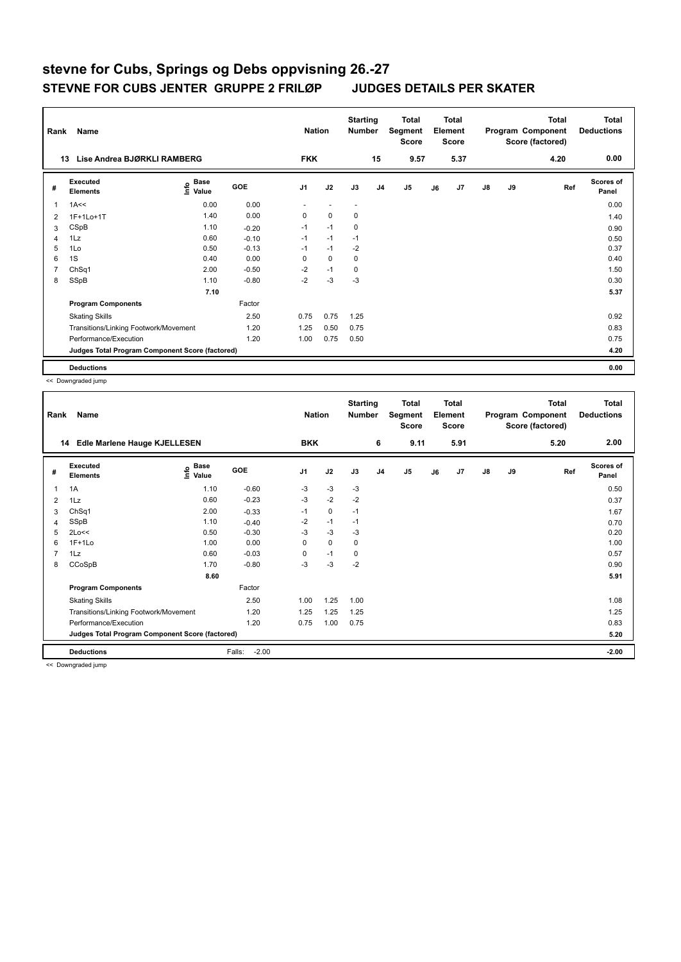| Rank           | Name                                            |                                    | <b>Nation</b> |                | <b>Starting</b><br><b>Number</b> |                          | Total<br>Segment<br><b>Score</b> |                | Total<br>Element<br><b>Score</b> |      |               | Total<br>Program Component<br>Score (factored) | Total<br><b>Deductions</b> |                           |
|----------------|-------------------------------------------------|------------------------------------|---------------|----------------|----------------------------------|--------------------------|----------------------------------|----------------|----------------------------------|------|---------------|------------------------------------------------|----------------------------|---------------------------|
|                | Lise Andrea BJØRKLI RAMBERG<br>13               |                                    |               | <b>FKK</b>     |                                  |                          | 15                               | 9.57           |                                  | 5.37 |               |                                                | 4.20                       | 0.00                      |
| #              | Executed<br><b>Elements</b>                     | <b>Base</b><br>$\frac{6}{5}$ Value | GOE           | J <sub>1</sub> | J2                               | J3                       | J <sub>4</sub>                   | J <sub>5</sub> | J6                               | J7   | $\mathsf{J}8$ | J9                                             | Ref                        | <b>Scores of</b><br>Panel |
| 1              | 1A<<                                            | 0.00                               | 0.00          | ٠              | ٠                                | $\overline{\phantom{a}}$ |                                  |                |                                  |      |               |                                                |                            | 0.00                      |
| $\overline{2}$ | 1F+1Lo+1T                                       | 1.40                               | 0.00          | $\mathbf 0$    | $\mathbf 0$                      | $\pmb{0}$                |                                  |                |                                  |      |               |                                                |                            | 1.40                      |
| 3              | CSpB                                            | 1.10                               | $-0.20$       | $-1$           | $-1$                             | 0                        |                                  |                |                                  |      |               |                                                |                            | 0.90                      |
| $\overline{4}$ | 1Lz                                             | 0.60                               | $-0.10$       | $-1$           | $-1$                             | $-1$                     |                                  |                |                                  |      |               |                                                |                            | 0.50                      |
| 5              | 1Lo                                             | 0.50                               | $-0.13$       | $-1$           | $-1$                             | $-2$                     |                                  |                |                                  |      |               |                                                |                            | 0.37                      |
| 6              | 1S                                              | 0.40                               | 0.00          | 0              | $\mathbf 0$                      | 0                        |                                  |                |                                  |      |               |                                                |                            | 0.40                      |
| 7              | ChSq1                                           | 2.00                               | $-0.50$       | $-2$           | $-1$                             | 0                        |                                  |                |                                  |      |               |                                                |                            | 1.50                      |
| 8              | SSpB                                            | 1.10                               | $-0.80$       | $-2$           | $-3$                             | $-3$                     |                                  |                |                                  |      |               |                                                |                            | 0.30                      |
|                |                                                 | 7.10                               |               |                |                                  |                          |                                  |                |                                  |      |               |                                                |                            | 5.37                      |
|                | <b>Program Components</b>                       |                                    | Factor        |                |                                  |                          |                                  |                |                                  |      |               |                                                |                            |                           |
|                | <b>Skating Skills</b>                           |                                    | 2.50          | 0.75           | 0.75                             | 1.25                     |                                  |                |                                  |      |               |                                                |                            | 0.92                      |
|                | Transitions/Linking Footwork/Movement           |                                    | 1.20          | 1.25           | 0.50                             | 0.75                     |                                  |                |                                  |      |               |                                                |                            | 0.83                      |
|                | Performance/Execution                           |                                    | 1.20          | 1.00           | 0.75                             | 0.50                     |                                  |                |                                  |      |               |                                                |                            | 0.75                      |
|                | Judges Total Program Component Score (factored) |                                    |               |                |                                  |                          |                                  |                |                                  |      |               |                                                |                            | 4.20                      |
|                | <b>Deductions</b>                               |                                    |               |                |                                  |                          |                                  |                |                                  |      |               |                                                |                            | 0.00                      |

<< Downgraded jump

| Rank           | Name                                            |                   |                   | <b>Nation</b>  |             | <b>Starting</b><br><b>Number</b> |                | <b>Total</b><br>Segment<br><b>Score</b> |    | <b>Total</b><br>Element<br><b>Score</b> |               |    | <b>Total</b><br>Program Component<br>Score (factored) | <b>Total</b><br><b>Deductions</b> |
|----------------|-------------------------------------------------|-------------------|-------------------|----------------|-------------|----------------------------------|----------------|-----------------------------------------|----|-----------------------------------------|---------------|----|-------------------------------------------------------|-----------------------------------|
|                | Edle Marlene Hauge KJELLESEN<br>14              |                   |                   | <b>BKK</b>     |             |                                  | 6              | 9.11                                    |    | 5.91                                    |               |    | 5.20                                                  | 2.00                              |
| #              | Executed<br><b>Elements</b>                     | e Base<br>⊆ Value | GOE               | J <sub>1</sub> | J2          | J3                               | J <sub>4</sub> | J <sub>5</sub>                          | J6 | J7                                      | $\mathsf{J}8$ | J9 | Ref                                                   | Scores of<br>Panel                |
| 1              | 1A                                              | 1.10              | $-0.60$           | $-3$           | $-3$        | $-3$                             |                |                                         |    |                                         |               |    |                                                       | 0.50                              |
| 2              | 1Lz                                             | 0.60              | $-0.23$           | $-3$           | $-2$        | $-2$                             |                |                                         |    |                                         |               |    |                                                       | 0.37                              |
| 3              | ChSq1                                           | 2.00              | $-0.33$           | $-1$           | 0           | $-1$                             |                |                                         |    |                                         |               |    |                                                       | 1.67                              |
| 4              | SSpB                                            | 1.10              | $-0.40$           | $-2$           | $-1$        | $-1$                             |                |                                         |    |                                         |               |    |                                                       | 0.70                              |
| 5              | 2Lo<<                                           | 0.50              | $-0.30$           | $-3$           | $-3$        | -3                               |                |                                         |    |                                         |               |    |                                                       | 0.20                              |
| 6              | $1F+1Lo$                                        | 1.00              | 0.00              | 0              | $\mathbf 0$ | 0                                |                |                                         |    |                                         |               |    |                                                       | 1.00                              |
| $\overline{7}$ | 1Lz                                             | 0.60              | $-0.03$           | 0              | $-1$        | 0                                |                |                                         |    |                                         |               |    |                                                       | 0.57                              |
| 8              | CCoSpB                                          | 1.70              | $-0.80$           | $-3$           | -3          | $-2$                             |                |                                         |    |                                         |               |    |                                                       | 0.90                              |
|                |                                                 | 8.60              |                   |                |             |                                  |                |                                         |    |                                         |               |    |                                                       | 5.91                              |
|                | <b>Program Components</b>                       |                   | Factor            |                |             |                                  |                |                                         |    |                                         |               |    |                                                       |                                   |
|                | <b>Skating Skills</b>                           |                   | 2.50              | 1.00           | 1.25        | 1.00                             |                |                                         |    |                                         |               |    |                                                       | 1.08                              |
|                | Transitions/Linking Footwork/Movement           |                   | 1.20              | 1.25           | 1.25        | 1.25                             |                |                                         |    |                                         |               |    |                                                       | 1.25                              |
|                | Performance/Execution                           |                   | 1.20              | 0.75           | 1.00        | 0.75                             |                |                                         |    |                                         |               |    |                                                       | 0.83                              |
|                | Judges Total Program Component Score (factored) |                   |                   |                |             |                                  |                |                                         |    |                                         |               |    |                                                       | 5.20                              |
|                | <b>Deductions</b>                               |                   | $-2.00$<br>Falls: |                |             |                                  |                |                                         |    |                                         |               |    |                                                       | $-2.00$                           |

<< Downgraded jump